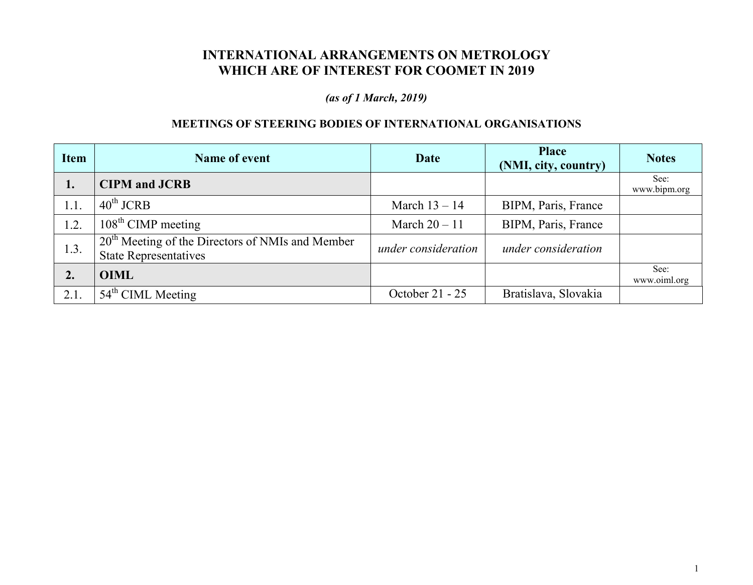## **INTERNATIONAL ARRANGEMENTS ON METROLOGY WHICH ARE OF INTEREST FOR COOMET IN 2019**

## *(as of 1 March, 2019)*

## **MEETINGS OF STEERING BODIES OF INTERNATIONAL ORGANISATIONS**

| <b>Item</b>    | Name of event                                                                      | Date                | <b>Place</b><br>(NMI, city, country) | <b>Notes</b>         |
|----------------|------------------------------------------------------------------------------------|---------------------|--------------------------------------|----------------------|
| 1.             | <b>CIPM</b> and <b>JCRB</b>                                                        |                     |                                      | See:<br>www.bipm.org |
| 1.1.           | $40^{\text{th}}$ JCRB                                                              | March $13 - 14$     | BIPM, Paris, France                  |                      |
| 1.2.           | $108th$ CIMP meeting                                                               | March $20 - 11$     | BIPM, Paris, France                  |                      |
| 1.3.           | $20th$ Meeting of the Directors of NMIs and Member<br><b>State Representatives</b> | under consideration | under consideration                  |                      |
| $\mathbf{2}$ . | <b>OIML</b>                                                                        |                     |                                      | See:<br>www.oiml.org |
| 2.1.           | $54th$ CIML Meeting                                                                | October 21 - 25     | Bratislava, Slovakia                 |                      |